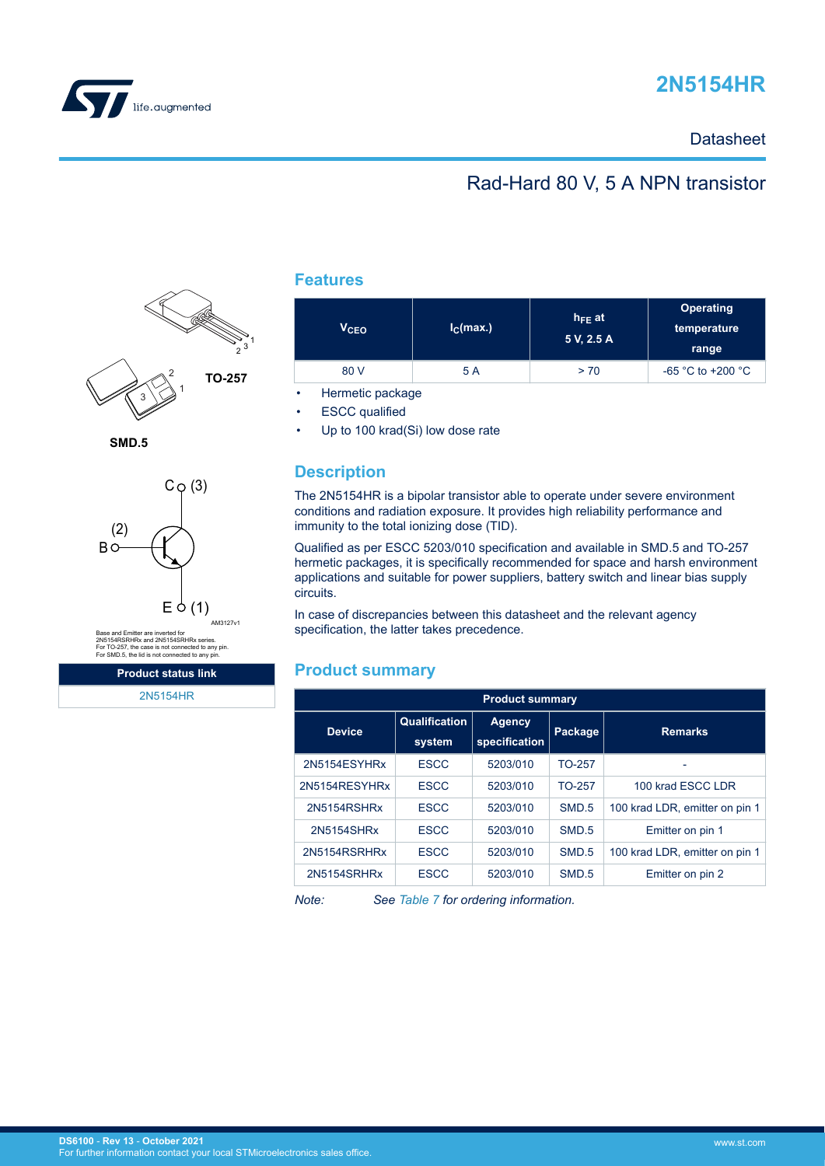



## **Datasheet**

# Rad-Hard 80 V, 5 A NPN transistor



**SMD.5**



Base and Emitter are inverted for<br>2N5154RSRHRx and 2N5154SRHRx series.<br>For TO-257, the case is not connected to any pin.<br>For SMD.5, the lid is not connected to any pin.

**Product status link** [2N5154HR](https://www.st.com/en/product/2n5154hr?ecmp=tt9470_gl_link_feb2019&rt=ds&id=DS6100)

### **Features**

| V <sub>CEO</sub> | I <sub>C</sub> (max.) | $h_{FE}$ at<br>5 V, 2.5 A | <b>Operating</b><br>temperature<br>range |  |
|------------------|-----------------------|---------------------------|------------------------------------------|--|
| 80 V             | 5 A                   | > 70                      | $-65$ °C to +200 °C                      |  |

• Hermetic package

**ESCC** qualified

Up to 100 krad(Si) low dose rate

## **Description**

The 2N5154HR is a bipolar transistor able to operate under severe environment conditions and radiation exposure. It provides high reliability performance and immunity to the total ionizing dose (TID).

Qualified as per ESCC 5203/010 specification and available in SMD.5 and TO-257 hermetic packages, it is specifically recommended for space and harsh environment applications and suitable for power suppliers, battery switch and linear bias supply circuits.

In case of discrepancies between this datasheet and the relevant agency specification, the latter takes precedence.

### **Product summary**

| <b>Product summary</b> |                         |                         |         |                                |  |
|------------------------|-------------------------|-------------------------|---------|--------------------------------|--|
| <b>Device</b>          | Qualification<br>system | Agency<br>specification | Package | <b>Remarks</b>                 |  |
| 2N5154ESYHRx           | <b>ESCC</b>             | 5203/010                | TO-257  |                                |  |
| 2N5154RESYHRx          | <b>ESCC</b>             | 5203/010                | TO-257  | 100 krad ESCC LDR              |  |
| 2N5154RSHRx            | <b>ESCC</b>             | 5203/010                | SMD.5   | 100 krad LDR, emitter on pin 1 |  |
| 2N5154SHRx             | <b>ESCC</b>             | 5203/010                | SMD.5   | Emitter on pin 1               |  |
| 2N5154RSRHRx           | <b>ESCC</b>             | 5203/010                | SMD.5   | 100 krad LDR, emitter on pin 1 |  |
| 2N5154SRHRx            | <b>ESCC</b>             | 5203/010                | SMD.5   | Emitter on pin 2               |  |

*Note: See [Table 7](#page-9-0) for ordering information.*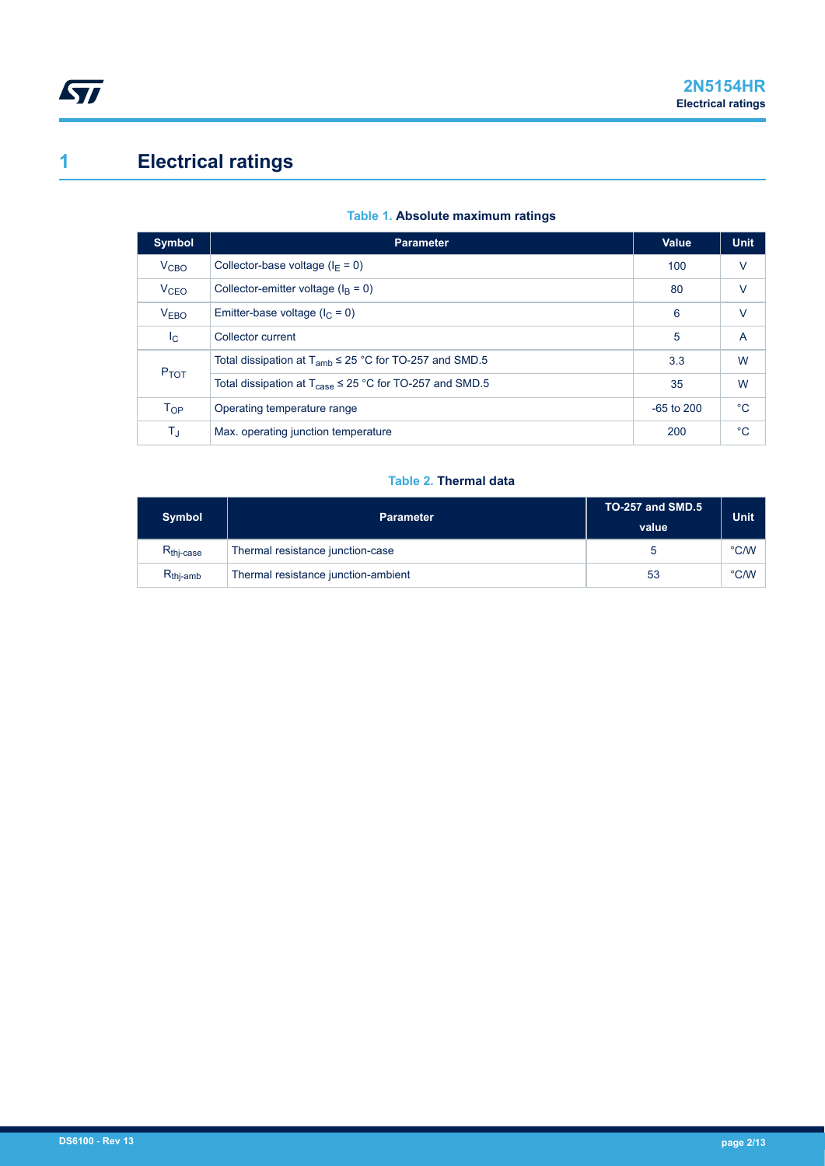# <span id="page-1-0"></span>**1 Electrical ratings**

| Symbol                 | <b>Parameter</b>                                                              | Value        | <b>Unit</b> |
|------------------------|-------------------------------------------------------------------------------|--------------|-------------|
| V <sub>CBO</sub>       | Collector-base voltage ( $I_F = 0$ )                                          | 100          | $\vee$      |
| <b>V<sub>CEO</sub></b> | Collector-emitter voltage ( $IB = 0$ )                                        | 80           | $\vee$      |
| V <sub>EBO</sub>       | Emitter-base voltage ( $I_C = 0$ )                                            | 6            | $\vee$      |
| $I_{\rm C}$            | Collector current                                                             | 5            | A           |
| P <sub>TOT</sub>       | Total dissipation at $T_{amb} \leq 25$ °C for TO-257 and SMD.5                | 3.3          | W           |
|                        | Total dissipation at $T_{\text{case}} \leq 25 \degree C$ for TO-257 and SMD.5 | 35           | W           |
| $T_{OP}$               | Operating temperature range                                                   | $-65$ to 200 | $^{\circ}C$ |
| T,                     | Max. operating junction temperature                                           | 200          | $^{\circ}C$ |

### **Table 1. Absolute maximum ratings**

#### **Table 2. Thermal data**

| <b>Symbol</b>         | <b>Parameter</b>                    | <b>TO-257 and SMD.5</b><br>value | <b>Unit</b> |
|-----------------------|-------------------------------------|----------------------------------|-------------|
| $R_{\text{thi-case}}$ | Thermal resistance junction-case    |                                  | °C/W        |
| $R_{\text{thj-amb}}$  | Thermal resistance junction-ambient | 53                               | °C/W        |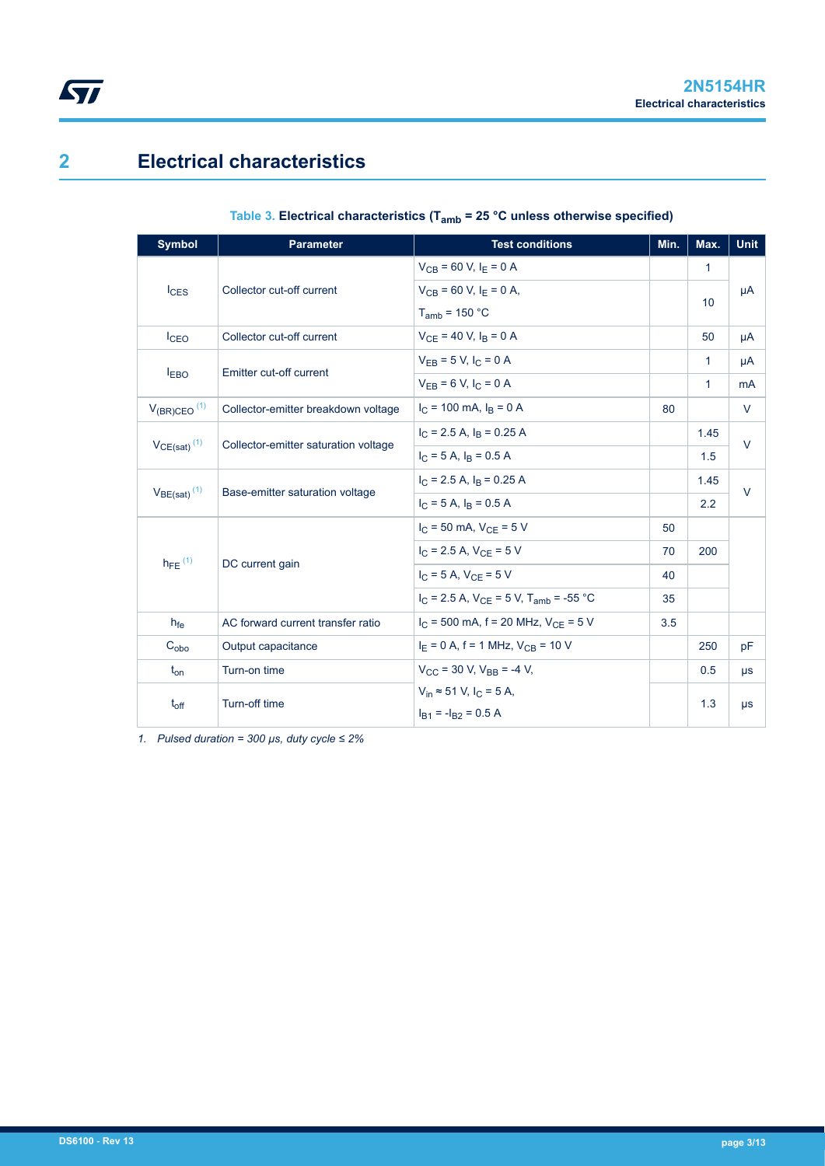# **2 Electrical characteristics**

 $\sqrt{2}$ 

## **Table 3. Electrical characteristics (Tamb = 25 °C unless otherwise specified)**

| <b>Symbol</b>                | <b>Parameter</b>                     | <b>Test conditions</b>                            | Min. | Max.         | <b>Unit</b> |  |
|------------------------------|--------------------------------------|---------------------------------------------------|------|--------------|-------------|--|
|                              |                                      | $V_{CB}$ = 60 V, $I_E$ = 0 A                      |      | $\mathbf{1}$ |             |  |
| $I_{CES}$                    | Collector cut-off current            | $V_{CB}$ = 60 V, $I_F$ = 0 A,                     |      | 10           | μA          |  |
|                              |                                      | $T_{amb}$ = 150 °C                                |      |              |             |  |
| I <sub>CEO</sub>             | Collector cut-off current            | $V_{CF}$ = 40 V, $I_B$ = 0 A                      |      | 50           | μA          |  |
|                              | Emitter cut-off current              | $V_{EB} = 5 V, I_C = 0 A$                         |      | 1            | μA          |  |
| I <sub>EBO</sub>             |                                      | $V_{FR} = 6 V, I_C = 0 A$                         |      | 1            | mA          |  |
| $V_{(BR)CEO}$ <sup>(1)</sup> | Collector-emitter breakdown voltage  | $I_C$ = 100 mA, $I_B$ = 0 A                       | 80   |              | $\vee$      |  |
|                              |                                      | $I_C$ = 2.5 A, $I_B$ = 0.25 A                     |      | 1.45         |             |  |
| $VCE(sat)$ <sup>(1)</sup>    | Collector-emitter saturation voltage | $I_C = 5 A$ , $I_R = 0.5 A$                       |      | 1.5          | $\vee$      |  |
|                              |                                      | $I_C$ = 2.5 A, $I_B$ = 0.25 A                     |      | 1.45         | $\vee$      |  |
| $V_{BE(sat)}$ <sup>(1)</sup> | Base-emitter saturation voltage      | $I_C = 5 A$ , $I_R = 0.5 A$                       |      | 2.2          |             |  |
|                              |                                      | $I_C = 50$ mA, $V_{CE} = 5$ V                     | 50   |              |             |  |
|                              |                                      | $I_C = 2.5$ A, $V_{CF} = 5$ V                     | 70   | 200          |             |  |
| $h_{FE}$ <sup>(1)</sup>      | DC current gain                      | $I_C = 5 A$ , $V_{CF} = 5 V$                      | 40   |              |             |  |
|                              |                                      | $I_C$ = 2.5 A, $V_{CF}$ = 5 V, $T_{amb}$ = -55 °C | 35   |              |             |  |
| h <sub>fe</sub>              | AC forward current transfer ratio    | $I_C$ = 500 mA, f = 20 MHz, $V_{CE}$ = 5 V        | 3.5  |              |             |  |
| $C_{\rm obo}$                | Output capacitance                   | $I_E = 0$ A, f = 1 MHz, $V_{CB} = 10$ V           |      | 250          | pF          |  |
| $t_{on}$                     | Turn-on time                         | $V_{CC}$ = 30 V. $V_{BB}$ = -4 V.                 |      | 0.5          | $\mu s$     |  |
|                              | Turn-off time                        | $V_{in} \approx 51$ V, $I_{C} = 5$ A,             |      | 1.3          |             |  |
| $t_{off}$                    |                                      | $I_{B1} = -I_{B2} = 0.5 A$                        |      |              | $\mu s$     |  |

*1. Pulsed duration = 300 µs, duty cycle ≤ 2%*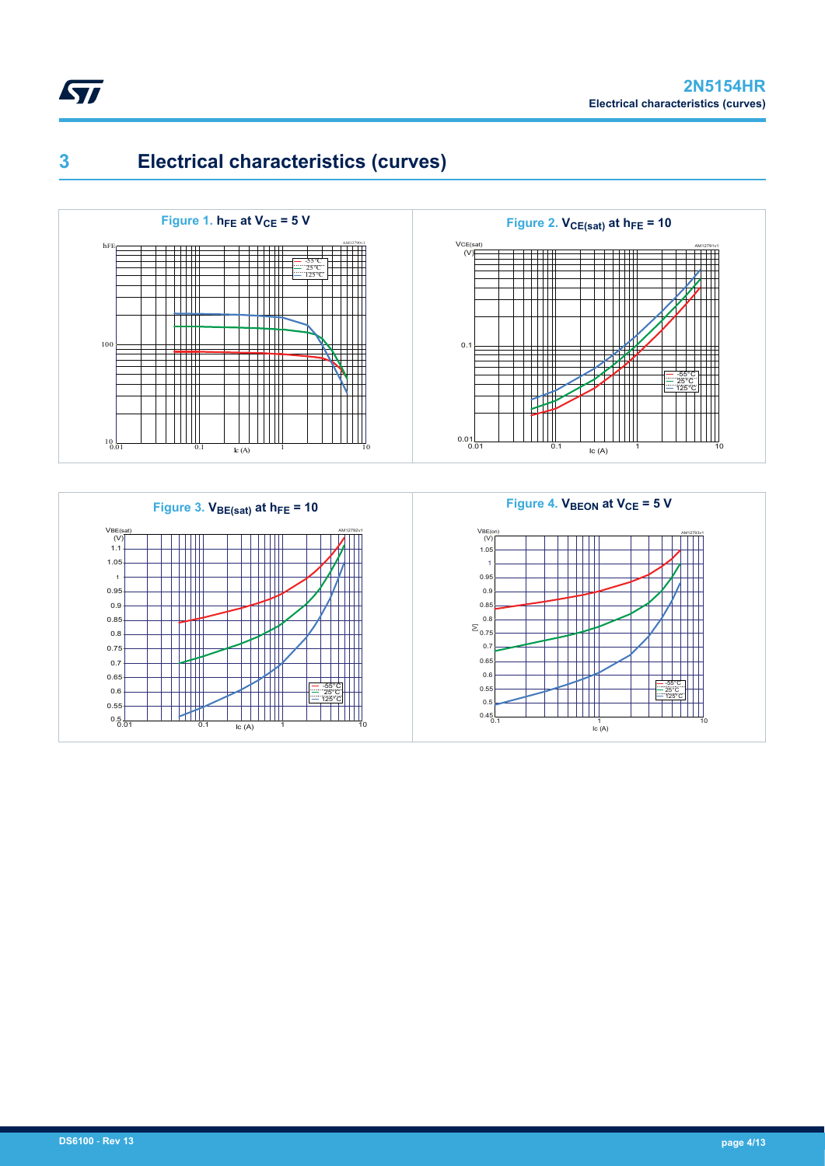







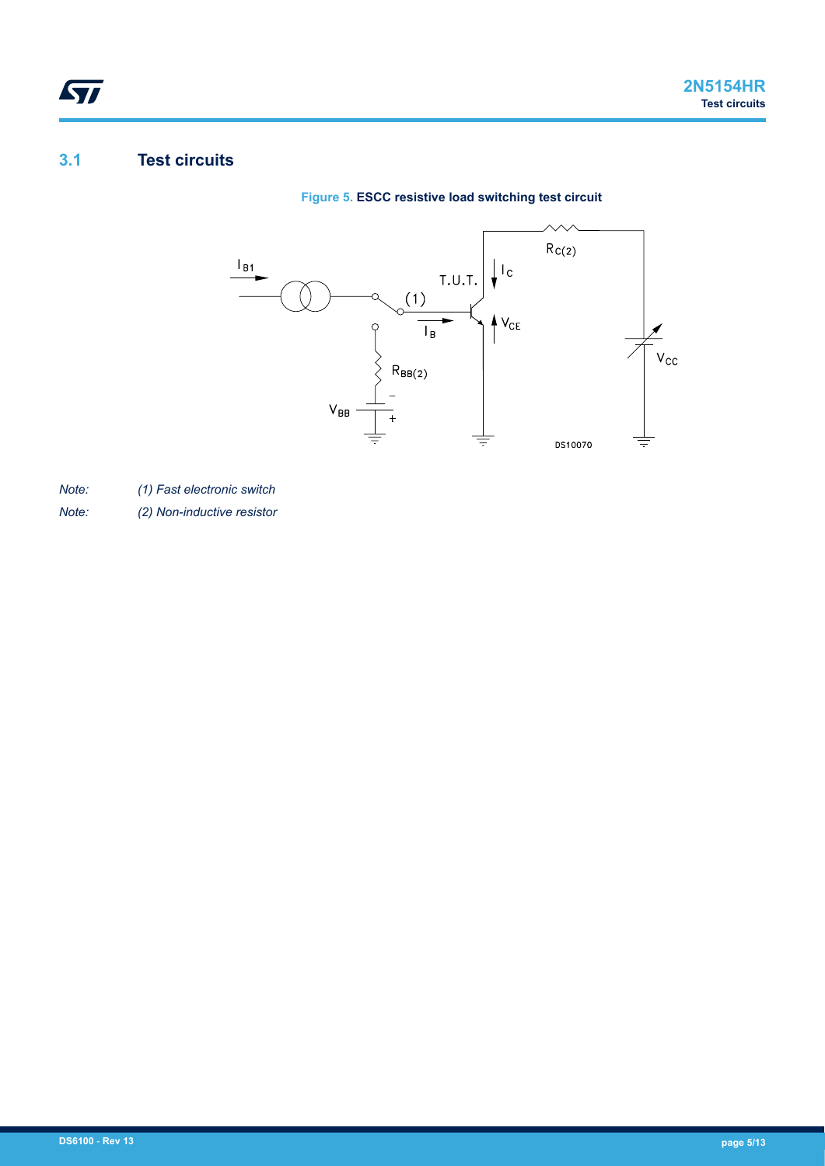# **3.1 Test circuits**

ST





*Note: (1) Fast electronic switch*

*Note: (2) Non-inductive resistor*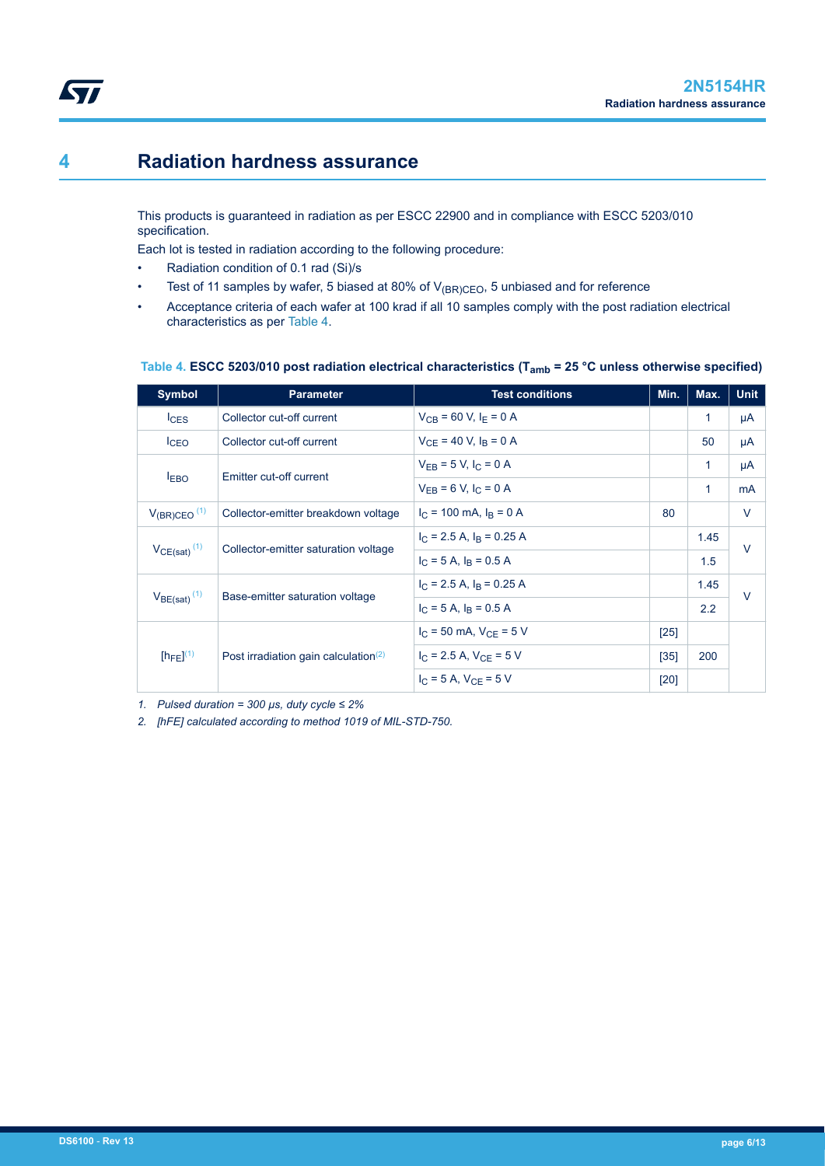# **4 Radiation hardness assurance**

ST

This products is guaranteed in radiation as per ESCC 22900 and in compliance with ESCC 5203/010 specification.

Each lot is tested in radiation according to the following procedure:

- Radiation condition of 0.1 rad (Si)/s
- Test of 11 samples by wafer, 5 biased at 80% of  $V_{(BR)CEO}$ , 5 unbiased and for reference
- Acceptance criteria of each wafer at 100 krad if all 10 samples comply with the post radiation electrical characteristics as per Table 4.

| <b>Symbol</b>                | <b>Parameter</b>                                 | <b>Test conditions</b>                | Min.   | Max. | <b>Unit</b> |  |
|------------------------------|--------------------------------------------------|---------------------------------------|--------|------|-------------|--|
| $I_{CES}$                    | Collector cut-off current                        | $V_{CB}$ = 60 V, I <sub>F</sub> = 0 A |        | 1    | μA          |  |
| I <sub>CEO</sub>             | Collector cut-off current                        | $V_{CF}$ = 40 V, $I_B$ = 0 A          |        | 50   | μA          |  |
|                              |                                                  | $V_{FR}$ = 5 V, $I_C$ = 0 A           |        | 1    | μA          |  |
| <b>EBO</b>                   | Emitter cut-off current                          | $V_{FB} = 6 V, I_C = 0 A$             |        | 1    | mA          |  |
| $V_{(BR)CEO}$ <sup>(1)</sup> | Collector-emitter breakdown voltage              | $I_C$ = 100 mA, $I_B$ = 0 A           | 80     |      | $\vee$      |  |
|                              |                                                  | $I_C$ = 2.5 A, $I_R$ = 0.25 A         |        | 1.45 | $\vee$      |  |
| $V_{CE(sat)}$ <sup>(1)</sup> | Collector-emitter saturation voltage             | $I_C = 5 A$ , $I_R = 0.5 A$           |        | 1.5  |             |  |
|                              |                                                  | $I_C$ = 2.5 A, $I_R$ = 0.25 A         |        | 1.45 | $\vee$      |  |
| $V_{BE(sat)}$ <sup>(1)</sup> | Base-emitter saturation voltage                  | $I_C = 5 A$ , $I_R = 0.5 A$           |        | 2.2  |             |  |
|                              |                                                  | $I_C = 50$ mA, $V_{CE} = 5$ V         | [25]   |      |             |  |
| $[h_{FE}]^{(1)}$             | Post irradiation gain calculation <sup>(2)</sup> | $I_{C}$ = 2.5 A, $V_{CF}$ = 5 V       | $[35]$ | 200  |             |  |
|                              |                                                  | $I_{C}$ = 5 A, $V_{CF}$ = 5 V         | [20]   |      |             |  |

#### **Table 4. ESCC 5203/010 post radiation electrical characteristics (Tamb = 25 °C unless otherwise specified)**

*1. Pulsed duration = 300 µs, duty cycle ≤ 2%*

*2. [hFE] calculated according to method 1019 of MIL-STD-750.*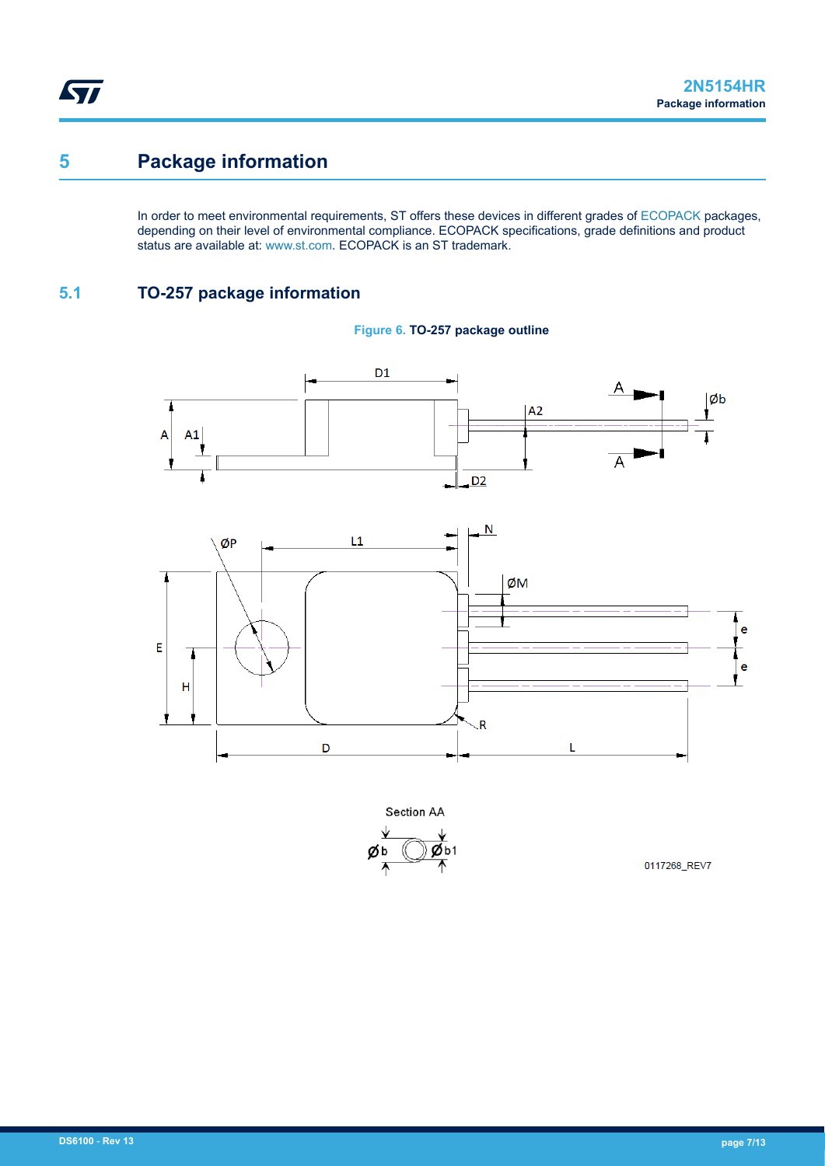# **5 Package information**

In order to meet environmental requirements, ST offers these devices in different grades of [ECOPACK](https://www.st.com/ecopack) packages, depending on their level of environmental compliance. ECOPACK specifications, grade definitions and product status are available at: [www.st.com.](http://www.st.com) ECOPACK is an ST trademark.

## **5.1 TO-257 package information**







Section AA  $Øb1$ øь

0117268\_REV7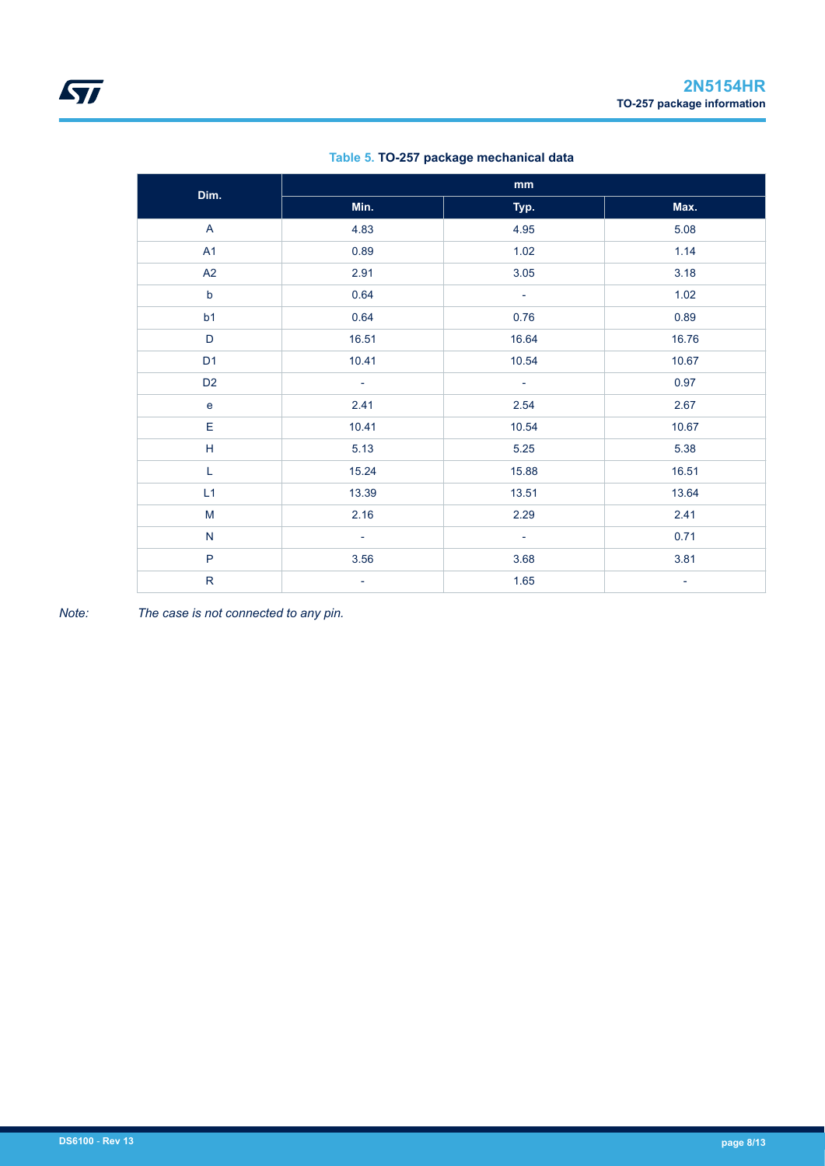| Dim.                      |                          | mm                       |                          |
|---------------------------|--------------------------|--------------------------|--------------------------|
|                           | Min.                     | Typ.                     | Max.                     |
| $\mathsf{A}$              | 4.83                     | 4.95                     | 5.08                     |
| A1                        | 0.89                     | 1.02                     | 1.14                     |
| A2                        | 2.91                     | 3.05                     | 3.18                     |
| $\mathsf b$               | 0.64                     | ÷                        | 1.02                     |
| b1                        | 0.64                     | 0.76                     | 0.89                     |
| D                         | 16.51                    | 16.64                    | 16.76                    |
| D <sub>1</sub>            | 10.41                    | 10.54                    | 10.67                    |
| D <sub>2</sub>            | $\overline{\phantom{a}}$ | $\equiv$                 | 0.97                     |
| $\mathbf e$               | 2.41                     | 2.54                     | 2.67                     |
| E                         | 10.41                    | 10.54                    | 10.67                    |
| $\boldsymbol{\mathsf{H}}$ | 5.13                     | 5.25                     | 5.38                     |
| L                         | 15.24                    | 15.88                    | 16.51                    |
| L1                        | 13.39                    | 13.51                    | 13.64                    |
| ${\sf M}$                 | 2.16                     | 2.29                     | 2.41                     |
| ${\sf N}$                 | ÷,                       | $\overline{\phantom{a}}$ | 0.71                     |
| $\mathsf{P}$              | 3.56                     | 3.68                     | 3.81                     |
| ${\sf R}$                 | $\overline{\phantom{a}}$ | 1.65                     | $\overline{\phantom{a}}$ |

### **Table 5. TO-257 package mechanical data**

*Note: The case is not connected to any pin.*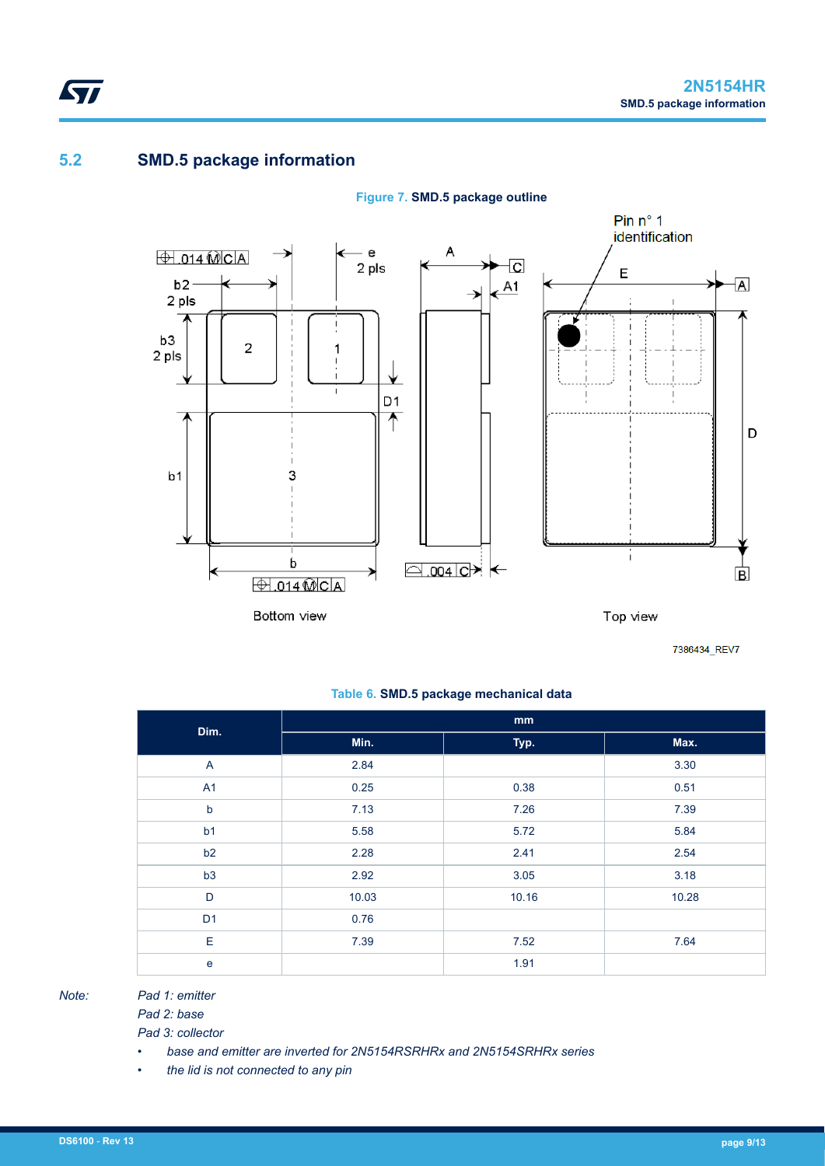## **5.2 SMD.5 package information**

ST



**Figure 7. SMD.5 package outline**

7386434\_REV7

### **Table 6. SMD.5 package mechanical data**

| Dim.           | mm    |       |       |  |  |  |  |
|----------------|-------|-------|-------|--|--|--|--|
|                | Min.  | Typ.  | Max.  |  |  |  |  |
| $\overline{A}$ | 2.84  |       | 3.30  |  |  |  |  |
| A1             | 0.25  | 0.38  | 0.51  |  |  |  |  |
| $\sf b$        | 7.13  | 7.26  | 7.39  |  |  |  |  |
| b <sub>1</sub> | 5.58  | 5.72  | 5.84  |  |  |  |  |
| b <sub>2</sub> | 2.28  | 2.41  | 2.54  |  |  |  |  |
| b3             | 2.92  | 3.05  | 3.18  |  |  |  |  |
| D              | 10.03 | 10.16 | 10.28 |  |  |  |  |
| D <sub>1</sub> | 0.76  |       |       |  |  |  |  |
| E              | 7.39  | 7.52  | 7.64  |  |  |  |  |
| e              |       | 1.91  |       |  |  |  |  |

*Note: Pad 1: emitter*

*Pad 2: base Pad 3: collector*

- *base and emitter are inverted for 2N5154RSRHRx and 2N5154SRHRx series*
- *the lid is not connected to any pin*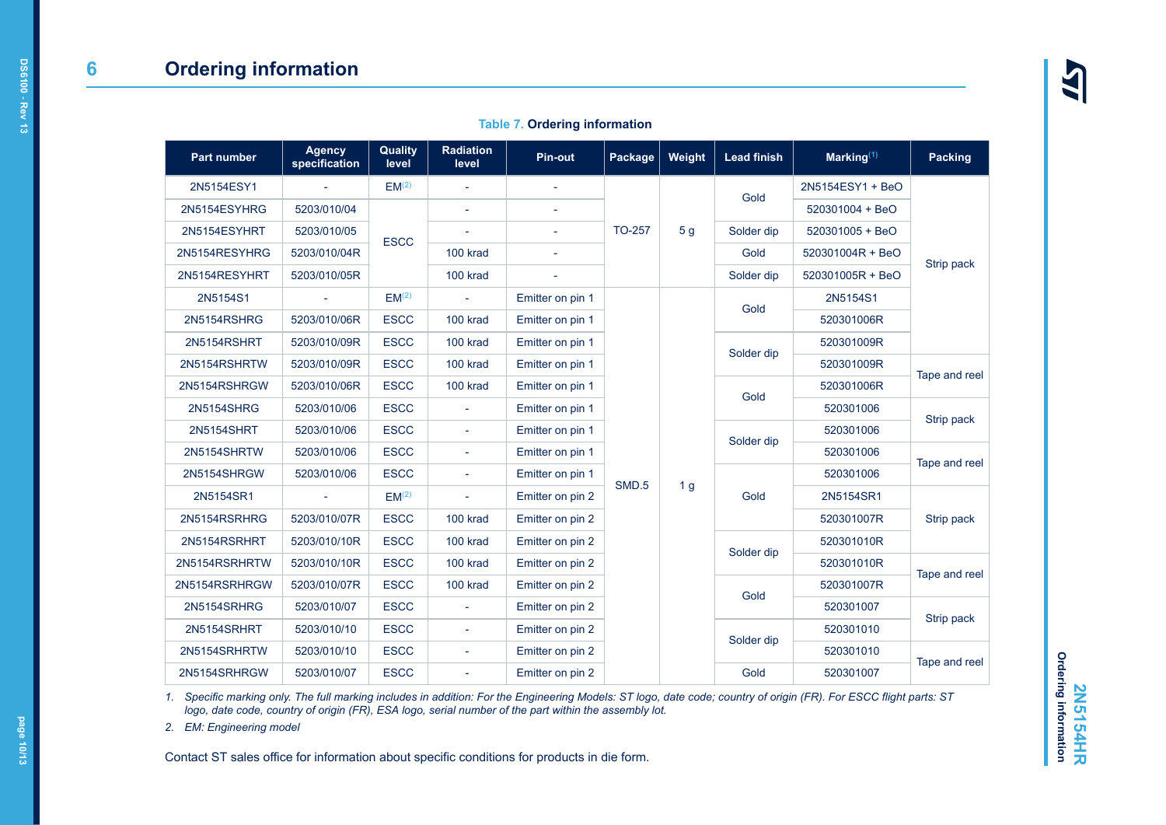|  |  |  | <b>Table 7. Ordering information</b> |  |
|--|--|--|--------------------------------------|--|
|--|--|--|--------------------------------------|--|

<span id="page-9-0"></span>

| Part number       | <b>Agency</b><br>specification | <b>Quality</b><br>level | <b>Radiation</b><br>level | <b>Pin-out</b>   | Package       | Weight         | <b>Lead finish</b> | Marking $(1)$    | <b>Packing</b> |
|-------------------|--------------------------------|-------------------------|---------------------------|------------------|---------------|----------------|--------------------|------------------|----------------|
| 2N5154ESY1        |                                | EM <sup>(2)</sup>       |                           |                  |               |                |                    | 2N5154ESY1 + BeO |                |
| 2N5154ESYHRG      | 5203/010/04                    |                         |                           |                  |               |                | Gold               | 520301004 + BeO  |                |
| 2N5154ESYHRT      | 5203/010/05                    | <b>ESCC</b>             |                           | $\overline{a}$   | <b>TO-257</b> | 5 <sub>g</sub> | Solder dip         | 520301005 + BeO  |                |
| 2N5154RESYHRG     | 5203/010/04R                   |                         | 100 krad                  |                  |               |                | Gold               | 520301004R + BeO |                |
| 2N5154RESYHRT     | 5203/010/05R                   |                         | 100 krad                  |                  |               |                | Solder dip         | 520301005R + BeO | Strip pack     |
| 2N5154S1          |                                | EM <sup>(2)</sup>       | L,                        | Emitter on pin 1 |               |                | Gold               | 2N5154S1         |                |
| 2N5154RSHRG       | 5203/010/06R                   | <b>ESCC</b>             | 100 krad                  | Emitter on pin 1 |               |                |                    | 520301006R       |                |
| 2N5154RSHRT       | 5203/010/09R                   | <b>ESCC</b>             | 100 krad                  | Emitter on pin 1 |               |                | Solder dip         | 520301009R       |                |
| 2N5154RSHRTW      | 5203/010/09R                   | <b>ESCC</b>             | 100 krad                  | Emitter on pin 1 |               |                |                    | 520301009R       | Tape and reel  |
| 2N5154RSHRGW      | 5203/010/06R                   | <b>ESCC</b>             | 100 krad                  | Emitter on pin 1 |               |                | Gold               | 520301006R       |                |
| <b>2N5154SHRG</b> | 5203/010/06                    | <b>ESCC</b>             |                           | Emitter on pin 1 |               |                |                    | 520301006        | Strip pack     |
| <b>2N5154SHRT</b> | 5203/010/06                    | <b>ESCC</b>             | $\sim$                    | Emitter on pin 1 |               |                | Solder dip         | 520301006        |                |
| 2N5154SHRTW       | 5203/010/06                    | <b>ESCC</b>             | $\sim$                    | Emitter on pin 1 |               |                |                    | 520301006        | Tape and reel  |
| 2N5154SHRGW       | 5203/010/06                    | <b>ESCC</b>             | $\sim$                    | Emitter on pin 1 | SMD.5         | 1 <sub>g</sub> |                    | 520301006        |                |
| 2N5154SR1         |                                | EM <sup>(2)</sup>       |                           | Emitter on pin 2 |               |                | Gold               | 2N5154SR1        |                |
| 2N5154RSRHRG      | 5203/010/07R                   | <b>ESCC</b>             | 100 krad                  | Emitter on pin 2 |               |                |                    | 520301007R       | Strip pack     |
| 2N5154RSRHRT      | 5203/010/10R                   | <b>ESCC</b>             | 100 krad                  | Emitter on pin 2 |               |                | Solder dip         | 520301010R       |                |
| 2N5154RSRHRTW     | 5203/010/10R                   | <b>ESCC</b>             | 100 krad                  | Emitter on pin 2 |               |                |                    | 520301010R       | Tape and reel  |
| 2N5154RSRHRGW     | 5203/010/07R                   | <b>ESCC</b>             | 100 krad                  | Emitter on pin 2 |               |                | Gold               | 520301007R       |                |
| 2N5154SRHRG       | 5203/010/07                    | <b>ESCC</b>             | ÷,                        | Emitter on pin 2 |               |                |                    | 520301007        | Strip pack     |
| 2N5154SRHRT       | 5203/010/10                    | <b>ESCC</b>             |                           | Emitter on pin 2 |               |                | Solder dip         | 520301010        |                |
| 2N5154SRHRTW      | 5203/010/10                    | <b>ESCC</b>             |                           | Emitter on pin 2 |               |                |                    | 520301010        | Tape and reel  |
| 2N5154SRHRGW      | 5203/010/07                    | <b>ESCC</b>             | ÷,                        | Emitter on pin 2 |               |                | Gold               | 520301007        |                |

*1. Specific marking only. The full marking includes in addition: For the Engineering Models: ST logo, date code; country of origin (FR). For ESCC flight parts: ST logo, date code, country of origin (FR), ESA logo, serial number of the part within the assembly lot.*

*2. EM: Engineering model*

Contact ST sales office for information about specific conditions for products in die form.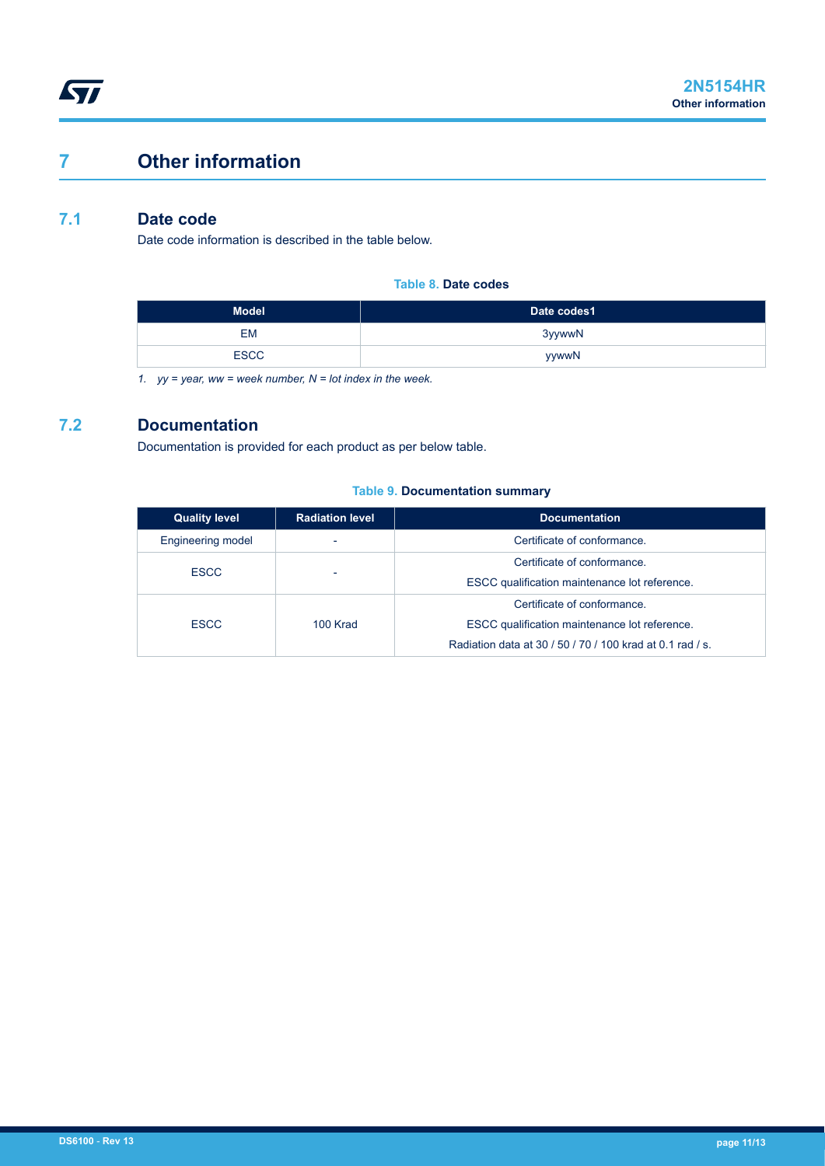# **7 Other information**

## **7.1 Date code**

Date code information is described in the table below.

**Table 8. Date codes**

| <b>Model</b> | Date codes1 |
|--------------|-------------|
| EM           | 3yywwN      |
| <b>ESCC</b>  | yywwN       |

*1. yy = year, ww = week number, N = lot index in the week.*

## **7.2 Documentation**

Documentation is provided for each product as per below table.

#### **Table 9. Documentation summary**

| <b>Quality level</b>     | <b>Radiation level</b>   | <b>Documentation</b>                                                                                                                      |
|--------------------------|--------------------------|-------------------------------------------------------------------------------------------------------------------------------------------|
| <b>Engineering model</b> | -                        | Certificate of conformance.                                                                                                               |
| <b>ESCC</b>              | $\overline{\phantom{0}}$ | Certificate of conformance.<br>ESCC qualification maintenance lot reference.                                                              |
| <b>ESCC</b>              | 100 Krad                 | Certificate of conformance.<br>ESCC qualification maintenance lot reference.<br>Radiation data at 30 / 50 / 70 / 100 krad at 0.1 rad / s. |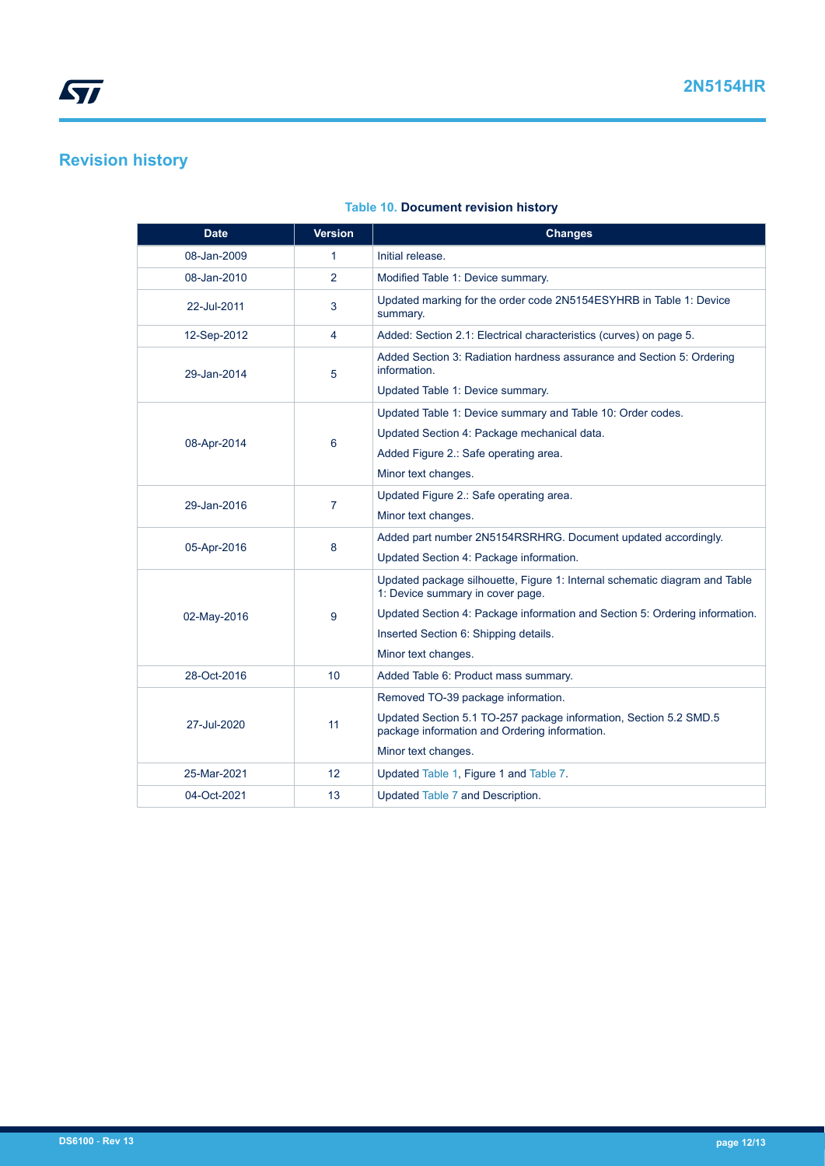# **Revision history**

| <b>Date</b> | <b>Version</b> | Changes                                                                                                            |
|-------------|----------------|--------------------------------------------------------------------------------------------------------------------|
| 08-Jan-2009 | 1              | Initial release.                                                                                                   |
| 08-Jan-2010 | $\overline{2}$ | Modified Table 1: Device summary.                                                                                  |
| 22-Jul-2011 | 3              | Updated marking for the order code 2N5154ESYHRB in Table 1: Device<br>summary.                                     |
| 12-Sep-2012 | 4              | Added: Section 2.1: Electrical characteristics (curves) on page 5.                                                 |
| 29-Jan-2014 | 5              | Added Section 3: Radiation hardness assurance and Section 5: Ordering<br>information.                              |
|             |                | Updated Table 1: Device summary.                                                                                   |
| 08-Apr-2014 | 6              | Updated Table 1: Device summary and Table 10: Order codes.                                                         |
|             |                | Updated Section 4: Package mechanical data.                                                                        |
|             |                | Added Figure 2.: Safe operating area.                                                                              |
|             |                | Minor text changes.                                                                                                |
| 29-Jan-2016 | 7              | Updated Figure 2.: Safe operating area.                                                                            |
|             |                | Minor text changes.                                                                                                |
| 05-Apr-2016 | 8              | Added part number 2N5154RSRHRG. Document updated accordingly.                                                      |
|             |                | Updated Section 4: Package information.                                                                            |
|             |                | Updated package silhouette, Figure 1: Internal schematic diagram and Table<br>1: Device summary in cover page.     |
| 02-May-2016 | 9              | Updated Section 4: Package information and Section 5: Ordering information.                                        |
|             |                | Inserted Section 6: Shipping details.                                                                              |
|             |                | Minor text changes.                                                                                                |
| 28-Oct-2016 | 10             | Added Table 6: Product mass summary.                                                                               |
| 27-Jul-2020 | 11             | Removed TO-39 package information.                                                                                 |
|             |                | Updated Section 5.1 TO-257 package information, Section 5.2 SMD.5<br>package information and Ordering information. |
|             |                | Minor text changes.                                                                                                |
| 25-Mar-2021 | 12             | Updated Table 1, Figure 1 and Table 7.                                                                             |
| 04-Oct-2021 | 13             | Updated Table 7 and Description.                                                                                   |

### **Table 10. Document revision history**